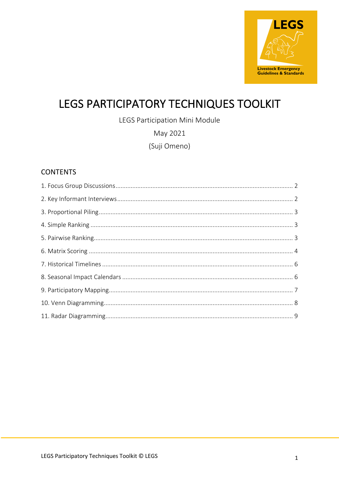

# LEGS PARTICIPATORY TECHNIQUES TOOLKIT

LEGS Participation Mini Module

May 2021

(Suji Omeno)

### **CONTENTS**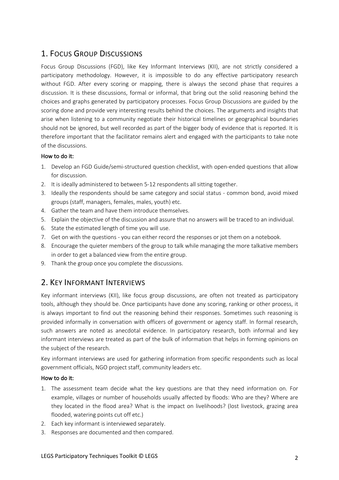# 1. FOCUS GROUP DISCUSSIONS

Focus Group Discussions (FGD), like Key Informant Interviews (KII), are not strictly considered a participatory methodology. However, it is impossible to do any effective participatory research without FGD. After every scoring or mapping, there is always the second phase that requires a discussion. It is these discussions, formal or informal, that bring out the solid reasoning behind the choices and graphs generated by participatory processes. Focus Group Discussions are guided by the scoring done and provide very interesting results behind the choices. The arguments and insights that arise when listening to a community negotiate their historical timelines or geographical boundaries should not be ignored, but well recorded as part of the bigger body of evidence that is reported. It is therefore important that the facilitator remains alert and engaged with the participants to take note of the discussions.

#### How to do it:

- 1. Develop an FGD Guide/semi-structured question checklist, with open-ended questions that allow for discussion.
- 2. It is ideally administered to between 5-12 respondents all sitting together.
- 3. Ideally the respondents should be same category and social status common bond, avoid mixed groups (staff, managers, females, males, youth) etc.
- 4. Gather the team and have them introduce themselves.
- 5. Explain the objective of the discussion and assure that no answers will be traced to an individual.
- 6. State the estimated length of time you will use.
- 7. Get on with the questions you can either record the responses or jot them on a notebook.
- 8. Encourage the quieter members of the group to talk while managing the more talkative members in order to get a balanced view from the entire group.
- 9. Thank the group once you complete the discussions.

# 2. KEY INFORMANT INTERVIEWS

Key informant interviews (KII), like focus group discussions, are often not treated as participatory tools, although they should be. Once participants have done any scoring, ranking or other process, it is always important to find out the reasoning behind their responses. Sometimes such reasoning is provided informally in conversation with officers of government or agency staff. In formal research, such answers are noted as anecdotal evidence. In participatory research, both informal and key informant interviews are treated as part of the bulk of information that helps in forming opinions on the subject of the research.

Key informant interviews are used for gathering information from specific respondents such as local government officials, NGO project staff, community leaders etc.

#### How to do it:

- 1. The assessment team decide what the key questions are that they need information on. For example, villages or number of households usually affected by floods: Who are they? Where are they located in the flood area? What is the impact on livelihoods? (lost livestock, grazing area flooded, watering points cut off etc.)
- 2. Each key informant is interviewed separately.
- 3. Responses are documented and then compared.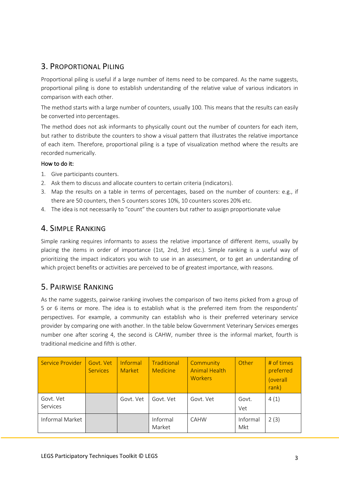# 3. PROPORTIONAL PILING

Proportional piling is useful if a large number of items need to be compared. As the name suggests, proportional piling is done to establish understanding of the relative value of various indicators in comparison with each other.

The method starts with a large number of counters, usually 100. This means that the results can easily be converted into percentages.

The method does not ask informants to physically count out the number of counters for each item, but rather to distribute the counters to show a visual pattern that illustrates the relative importance of each item. Therefore, proportional piling is a type of visualization method where the results are recorded numerically.

#### How to do it:

- 1. Give participants counters.
- 2. Ask them to discuss and allocate counters to certain criteria (indicators).
- 3. Map the results on a table in terms of percentages, based on the number of counters: e.g., if there are 50 counters, then 5 counters scores 10%, 10 counters scores 20% etc.
- 4. The idea is not necessarily to "count" the counters but rather to assign proportionate value

### 4. SIMPLE RANKING

Simple ranking requires informants to assess the relative importance of different items, usually by placing the items in order of importance (1st, 2nd, 3rd etc.). Simple ranking is a useful way of prioritizing the impact indicators you wish to use in an assessment, or to get an understanding of which project benefits or activities are perceived to be of greatest importance, with reasons.

## 5. PAIRWISE RANKING

As the name suggests, pairwise ranking involves the comparison of two items picked from a group of 5 or 6 items or more. The idea is to establish what is the preferred item from the respondents' perspectives. For example, a community can establish who is their preferred veterinary service provider by comparing one with another. In the table below Government Veterinary Services emerges number one after scoring 4, the second is CAHW, number three is the informal market, fourth is traditional medicine and fifth is other.

| <b>Service Provider</b> | Govt. Vet<br><b>Services</b> | Informal<br><b>Market</b> | Traditional<br><b>Medicine</b> | Community<br><b>Animal Health</b><br><b>Workers</b> | Other           | # of times<br>preferred<br>(overall<br>rank) |
|-------------------------|------------------------------|---------------------------|--------------------------------|-----------------------------------------------------|-----------------|----------------------------------------------|
| Govt. Vet<br>Services   |                              | Govt. Vet                 | Govt. Vet                      | Govt. Vet                                           | Govt.<br>Vet    | 4(1)                                         |
| Informal Market         |                              |                           | Informal<br>Market             | <b>CAHW</b>                                         | Informal<br>Mkt | 2(3)                                         |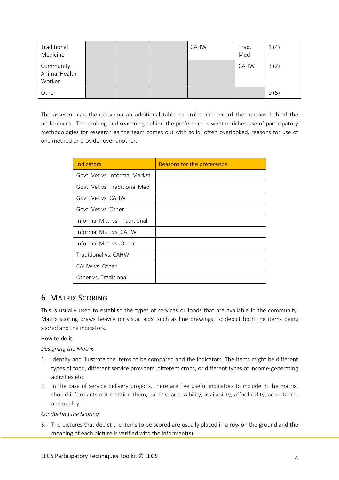| Traditional<br>Medicine              |  | CAHW | Trad.<br>Med | 1(4) |
|--------------------------------------|--|------|--------------|------|
| Community<br>Animal Health<br>Worker |  |      | CAHW         | 3(2) |
| Other                                |  |      |              | 0(5) |

The assessor can then develop an additional table to probe and record the reasons behind the preferences. The probing and reasoning behind the preference is what enriches use of participatory methodologies for research as the team comes out with solid, often overlooked, reasons for use of one method or provider over another.

| Indicators                    | Reasons for the preference |
|-------------------------------|----------------------------|
| Govt. Vet vs. Informal Market |                            |
| Govt. Vet vs. Traditional Med |                            |
| Govt. Vet vs. CAHW            |                            |
| Govt. Vet vs. Other           |                            |
| Informal Mkt. vs. Traditional |                            |
| Informal Mkt. vs. CAHW        |                            |
| Informal Mkt. vs. Other       |                            |
| Traditional vs. CAHW          |                            |
| CAHW vs. Other                |                            |
| Other vs. Traditional         |                            |

## 6. MATRIX SCORING

This is usually used to establish the types of services or foods that are available in the community. Matrix scoring draws heavily on visual aids, such as line drawings, to depict both the items being scored and the indicators.

#### How to do it:

#### *Designing the Matrix*

- 1. Identify and illustrate the items to be compared and the indicators. The items might be different types of food, different service providers, different crops, or different types of income-generating activities etc.
- 2. In the case of service delivery projects, there are five useful indicators to include in the matrix, should informants not mention them, namely: accessibility, availability, affordability, acceptance, and quality.

#### *Conducting the Scoring*

3. The pictures that depict the items to be scored are usually placed in a row on the ground and the meaning of each picture is verified with the informant(s).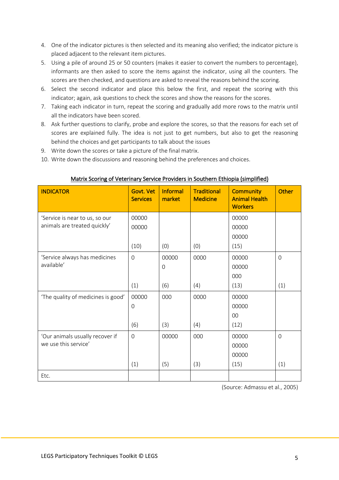- 4. One of the indicator pictures is then selected and its meaning also verified; the indicator picture is placed adjacent to the relevant item pictures.
- 5. Using a pile of around 25 or 50 counters (makes it easier to convert the numbers to percentage), informants are then asked to score the items against the indicator, using all the counters. The scores are then checked, and questions are asked to reveal the reasons behind the scoring.
- 6. Select the second indicator and place this below the first, and repeat the scoring with this indicator; again, ask questions to check the scores and show the reasons for the scores.
- 7. Taking each indicator in turn, repeat the scoring and gradually add more rows to the matrix until all the indicators have been scored.
- 8. Ask further questions to clarify, probe and explore the scores, so that the reasons for each set of scores are explained fully. The idea is not just to get numbers, but also to get the reasoning behind the choices and get participants to talk about the issues
- 9. Write down the scores or take a picture of the final matrix.
- 10. Write down the discussions and reasoning behind the preferences and choices.

| <b>INDICATOR</b>                   | Govt. Vet<br><b>Services</b> | <b>Informal</b><br>market | <b>Traditional</b><br><b>Medicine</b> | <b>Community</b><br><b>Animal Health</b><br><b>Workers</b> | Other          |
|------------------------------------|------------------------------|---------------------------|---------------------------------------|------------------------------------------------------------|----------------|
| 'Service is near to us, so our     | 00000                        |                           |                                       | 00000                                                      |                |
| animals are treated quickly'       | 00000                        |                           |                                       | 00000                                                      |                |
|                                    |                              |                           |                                       | 00000                                                      |                |
|                                    | (10)                         | (0)                       | (0)                                   | (15)                                                       |                |
| 'Service always has medicines      | $\mathbf{O}$                 | 00000                     | 0000                                  | 00000                                                      | $\overline{0}$ |
| available'                         |                              | 0                         |                                       | 00000                                                      |                |
|                                    |                              |                           |                                       | 000                                                        |                |
|                                    | (1)                          | (6)                       | (4)                                   | (13)                                                       | (1)            |
| 'The quality of medicines is good' | 00000                        | 000                       | 0000                                  | 00000                                                      |                |
|                                    | $\mathbf 0$                  |                           |                                       | 00000                                                      |                |
|                                    |                              |                           |                                       | 00                                                         |                |
|                                    | (6)                          | (3)                       | (4)                                   | (12)                                                       |                |
| 'Our animals usually recover if    | $\overline{0}$               | 00000                     | 000                                   | 00000                                                      | $\Omega$       |
| we use this service'               |                              |                           |                                       | 00000                                                      |                |
|                                    |                              |                           |                                       | 00000                                                      |                |
|                                    | (1)                          | (5)                       | (3)                                   | (15)                                                       | (1)            |
| Etc.                               |                              |                           |                                       |                                                            |                |

#### Matrix Scoring of Veterinary Service Providers in Southern Ethiopia (simplified)

(Source: Admassu et al., 2005)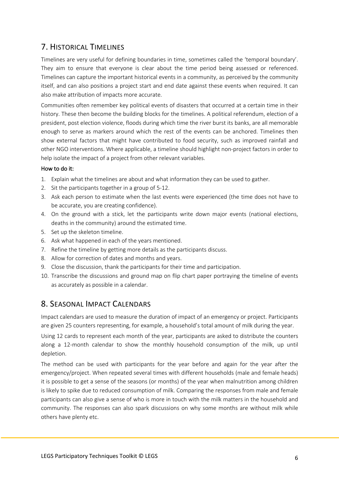# 7. HISTORICAL TIMELINES

Timelines are very useful for defining boundaries in time, sometimes called the 'temporal boundary'. They aim to ensure that everyone is clear about the time period being assessed or referenced. Timelines can capture the important historical events in a community, as perceived by the community itself, and can also positions a project start and end date against these events when required. It can also make attribution of impacts more accurate.

Communities often remember key political events of disasters that occurred at a certain time in their history. These then become the building blocks for the timelines. A political referendum, election of a president, post election violence, floods during which time the river burst its banks, are all memorable enough to serve as markers around which the rest of the events can be anchored. Timelines then show external factors that might have contributed to food security, such as improved rainfall and other NGO interventions. Where applicable, a timeline should highlight non-project factors in order to help isolate the impact of a project from other relevant variables.

#### How to do it:

- 1. Explain what the timelines are about and what information they can be used to gather.
- 2. Sit the participants together in a group of 5-12.
- 3. Ask each person to estimate when the last events were experienced (the time does not have to be accurate, you are creating confidence).
- 4. On the ground with a stick, let the participants write down major events (national elections, deaths in the community) around the estimated time.
- 5. Set up the skeleton timeline.
- 6. Ask what happened in each of the years mentioned.
- 7. Refine the timeline by getting more details as the participants discuss.
- 8. Allow for correction of dates and months and years.
- 9. Close the discussion, thank the participants for their time and participation.
- 10. Transcribe the discussions and ground map on flip chart paper portraying the timeline of events as accurately as possible in a calendar.

### 8. SEASONAL IMPACT CALENDARS

Impact calendars are used to measure the duration of impact of an emergency or project. Participants are given 25 counters representing, for example, a household's total amount of milk during the year.

Using 12 cards to represent each month of the year, participants are asked to distribute the counters along a 12-month calendar to show the monthly household consumption of the milk, up until depletion.

The method can be used with participants for the year before and again for the year after the emergency/project. When repeated several times with different households (male and female heads) it is possible to get a sense of the seasons (or months) of the year when malnutrition among children is likely to spike due to reduced consumption of milk. Comparing the responses from male and female participants can also give a sense of who is more in touch with the milk matters in the household and community. The responses can also spark discussions on why some months are without milk while others have plenty etc.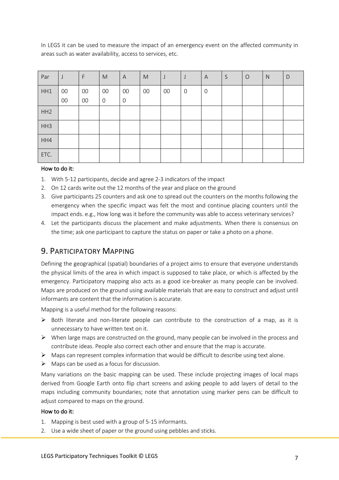In LEGS it can be used to measure the impact of an emergency event on the affected community in areas such as water availability, access to services, etc.

| Par             | J      | F      | M              | A           | ${\sf M}$ | J      | IJ             | A           | S | $\circ$ | $\mathsf{N}$ | D |
|-----------------|--------|--------|----------------|-------------|-----------|--------|----------------|-------------|---|---------|--------------|---|
| HH1             | $00\,$ | $00\,$ | $00\,$         | $00\,$      | $00\,$    | $00\,$ | $\overline{0}$ | $\mathbf 0$ |   |         |              |   |
|                 | $00\,$ | 00     | $\overline{0}$ | $\mathbf 0$ |           |        |                |             |   |         |              |   |
| HH <sub>2</sub> |        |        |                |             |           |        |                |             |   |         |              |   |
| HH3             |        |        |                |             |           |        |                |             |   |         |              |   |
| HH4             |        |        |                |             |           |        |                |             |   |         |              |   |
| ETC.            |        |        |                |             |           |        |                |             |   |         |              |   |

#### How to do it:

- 1. With 5-12 participants, decide and agree 2-3 indicators of the impact
- 2. On 12 cards write out the 12 months of the year and place on the ground
- 3. Give participants 25 counters and ask one to spread out the counters on the months following the emergency when the specific impact was felt the most and continue placing counters until the impact ends. e.g., How long was it before the community was able to access veterinary services?
- 4. Let the participants discuss the placement and make adjustments. When there is consensus on the time; ask one participant to capture the status on paper or take a photo on a phone.

### 9. PARTICIPATORY MAPPING

Defining the geographical (spatial) boundaries of a project aims to ensure that everyone understands the physical limits of the area in which impact is supposed to take place, or which is affected by the emergency. Participatory mapping also acts as a good ice-breaker as many people can be involved. Maps are produced on the ground using available materials that are easy to construct and adjust until informants are content that the information is accurate.

Mapping is a useful method for the following reasons:

- $\triangleright$  Both literate and non-literate people can contribute to the construction of a map, as it is unnecessary to have written text on it.
- $\triangleright$  When large maps are constructed on the ground, many people can be involved in the process and contribute ideas. People also correct each other and ensure that the map is accurate.
- $\triangleright$  Maps can represent complex information that would be difficult to describe using text alone.
- $\triangleright$  Maps can be used as a focus for discussion.

Many variations on the basic mapping can be used. These include projecting images of local maps derived from Google Earth onto flip chart screens and asking people to add layers of detail to the maps including community boundaries; note that annotation using marker pens can be difficult to adjust compared to maps on the ground.

#### How to do it:

- 1. Mapping is best used with a group of 5-15 informants.
- 2. Use a wide sheet of paper or the ground using pebbles and sticks.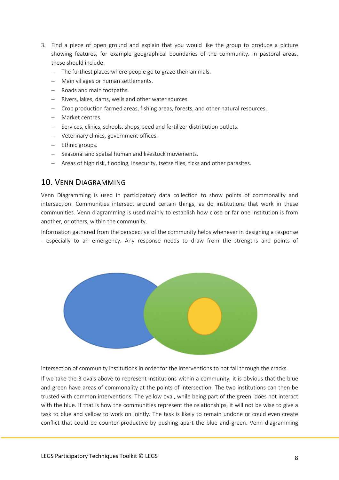- 3. Find a piece of open ground and explain that you would like the group to produce a picture showing features, for example geographical boundaries of the community. In pastoral areas, these should include:
	- The furthest places where people go to graze their animals.
	- Main villages or human settlements.
	- Roads and main footpaths.
	- Rivers, lakes, dams, wells and other water sources.
	- Crop production farmed areas, fishing areas, forests, and other natural resources.
	- Market centres.
	- Services, clinics, schools, shops, seed and fertilizer distribution outlets.
	- Veterinary clinics, government offices.
	- Ethnic groups.
	- Seasonal and spatial human and livestock movements.
	- Areas of high risk, flooding, insecurity, tsetse flies, ticks and other parasites.

### 10. VENN DIAGRAMMING

Venn Diagramming is used in participatory data collection to show points of commonality and intersection. Communities intersect around certain things, as do institutions that work in these communities. Venn diagramming is used mainly to establish how close or far one institution is from another, or others, within the community.

Information gathered from the perspective of the community helps whenever in designing a response - especially to an emergency. Any response needs to draw from the strengths and points of



intersection of community institutions in order for the interventions to not fall through the cracks.

If we take the 3 ovals above to represent institutions within a community, it is obvious that the blue and green have areas of commonality at the points of intersection. The two institutions can then be trusted with common interventions. The yellow oval, while being part of the green, does not interact with the blue. If that is how the communities represent the relationships, it will not be wise to give a task to blue and yellow to work on jointly. The task is likely to remain undone or could even create conflict that could be counter-productive by pushing apart the blue and green. Venn diagramming